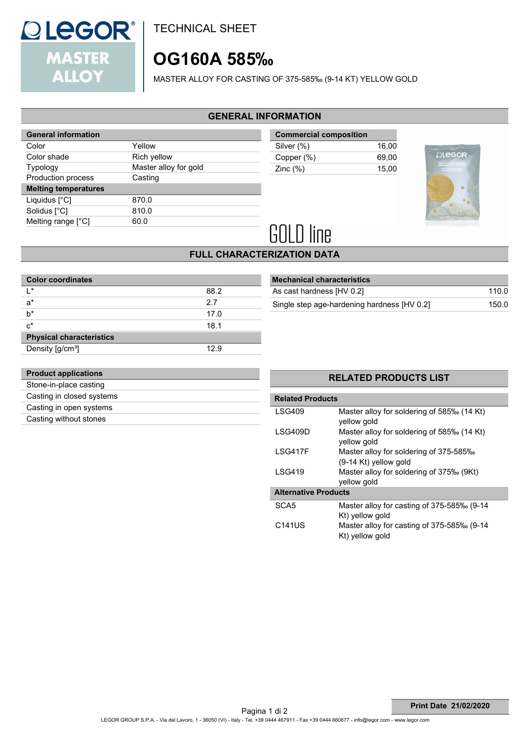

TECHNICAL SHEET

# **OG160A 585‰**

MASTER ALLOY FOR CASTING OF 375-585‰ (9-14 KT) YELLOW GOLD

### **GENERAL INFORMATION**

| <b>General information</b>  |                       |
|-----------------------------|-----------------------|
| Color                       | Yellow                |
| Color shade                 | Rich yellow           |
| <b>Typology</b>             | Master alloy for gold |
| Production process          | Casting               |
| <b>Melting temperatures</b> |                       |
| Liquidus [°C]               | 870.0                 |
| Solidus [°C]                | 810.0                 |
| Melting range [°C]          | 60.0                  |
|                             |                       |

| <b>Commercial composition</b> |       |
|-------------------------------|-------|
| Silver (%)                    | 16.00 |
| Copper (%)                    | 69.00 |
| Zinc $(\%)$                   | 15.00 |



# **GOLD line**

# **FULL CHARACTERIZATION DATA**

| <b>Color coordinates</b>        |      |
|---------------------------------|------|
| ı∗                              | 88.2 |
| $a^*$                           | 2.7  |
| $h^*$                           | 17.0 |
| $c^*$                           | 18.1 |
| <b>Physical characteristics</b> |      |
| Density [g/cm <sup>3</sup> ]    | 12.9 |

| <b>Mechanical characteristics</b>           |       |
|---------------------------------------------|-------|
| As cast hardness [HV 0.2]                   | 110.0 |
| Single step age-hardening hardness [HV 0.2] | 150.0 |

| <b>Product applications</b> |  |
|-----------------------------|--|
| Stone-in-place casting      |  |
| Casting in closed systems   |  |
| Casting in open systems     |  |
| Casting without stones      |  |

### **RELATED PRODUCTS LIST**

| <b>Related Products</b>     |                                                                   |  |  |
|-----------------------------|-------------------------------------------------------------------|--|--|
| LSG409                      | Master alloy for soldering of 585‰ (14 Kt)<br>yellow gold         |  |  |
| LSG409D                     | Master alloy for soldering of 585‰ (14 Kt)<br>yellow gold         |  |  |
| I SG417F                    | Master alloy for soldering of 375-585‰<br>$(9-14$ Kt) yellow gold |  |  |
| I SG419                     | Master alloy for soldering of 375‰ (9Kt)<br>yellow gold           |  |  |
| <b>Alternative Products</b> |                                                                   |  |  |
| SCA <sub>5</sub>            | Master alloy for casting of 375-585‰ (9-14<br>Kt) yellow gold     |  |  |
| C141US                      | Master alloy for casting of 375-585‰ (9-14<br>Kt) yellow gold     |  |  |